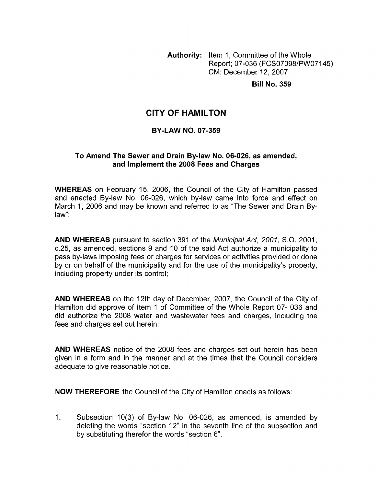**Authority:** Item 1, Committee of the Whole Report; 07-036 (FCS07098/PWO7145) CM: December 12,2007

**Bill No. 359** 

## **CITY OF HAMILTON**

### **BY-LAW NO. 07-359**

### **To Amend The Sewer and Drain By-law No. 06-026, as amended, and Implement the 2008 Fees and Charges**

**WHEREAS** on February 15, 2006, the Council of the City of Hamilton passed and enacted By-law No. 06-026, which by-law came into force and effect on March 1, 2006 and may be known and referred to as "The Sewer and Drain Bylaw";

**AND WHEREAS** pursuant to section 391 of the *Municipal Act, 2001, S.O.* 2001, c.25, as amended, sections 9 and 10 of the said Act authorize a municipality to pass by-laws imposing fees or charges for services or activities provided or done by or on behalf of the municipality and for the use of the municipality's property, including property under its control;

**AND WHEREAS** on the 12th day of December, 2007, the Council of the City of Hamilton did approve of Item 1 of Committee of the Whole Report 07- 036 and did authorize the 2008 water and wastewater fees and charges, including the fees and charges set out herein;

**AND WHEREAS** notice of the 2008 fees and charges set out herein has been given in a form and in the manner and at the times that the Council considers adequate to give reasonable notice.

**NOW THEREFORE** the Council of the City of Hamilton enacts as follows:

1. Subsection 10(3) of By-law No. 06-026, as amended, is amended by deleting the words "section 12" in the seventh line of the subsection and by substituting therefor the words "section 6".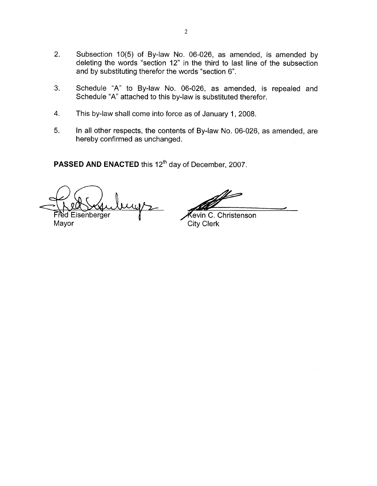- 2. Subsection 10(5) of By-law No. 06-026, as amended, is amended by deleting the words "section 12" in the third to last line of the subsection and by substituting therefor the words "section 6". **2008**, as amended, is amended by<br>
in the third to last line of the subsection<br>
words "section 6".<br>
06-026, as amended, is repealed and<br>
-law is substituted therefor.<br>
as a of January 1, 2008.<br>
ts of By-law No. 06-026, as
- 3. Schedule "A" to By-law No. 06-026, as amended, is repealed and Schedule "A" attached to this by-law is substituted therefor.
- 4. This by-law shall come into force as of January 1, 2008.
- 5. In all other respects, the contents of By-law No. 06-026, as amended, are hereby confirmed as unchanged.

**PASSED AND ENACTED** this 12<sup>th</sup> day of December, 2007.

Fred Eisenberger

Mayor City Clerk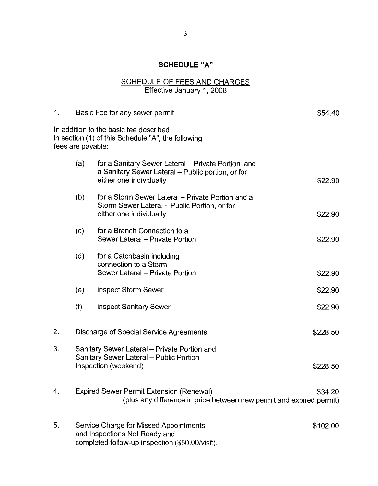# **SCHEDULE "A"**

#### SCHEDULE OF FEES AND CHARGES Effective January 1,2008

| 1. | Basic Fee for any sewer permit                                                                                                         |                                                                                                                                    |         |  |
|----|----------------------------------------------------------------------------------------------------------------------------------------|------------------------------------------------------------------------------------------------------------------------------------|---------|--|
|    | fees are payable:                                                                                                                      | In addition to the basic fee described<br>in section (1) of this Schedule "A", the following                                       |         |  |
|    | (a)                                                                                                                                    | for a Sanitary Sewer Lateral - Private Portion and<br>a Sanitary Sewer Lateral - Public portion, or for<br>either one individually | \$22.90 |  |
|    | (b)                                                                                                                                    | for a Storm Sewer Lateral – Private Portion and a<br>Storm Sewer Lateral - Public Portion, or for<br>either one individually       | \$22.90 |  |
|    | (c)                                                                                                                                    | for a Branch Connection to a<br>Sewer Lateral - Private Portion                                                                    | \$22.90 |  |
|    | (d)                                                                                                                                    | for a Catchbasin including<br>connection to a Storm<br>Sewer Lateral - Private Portion                                             | \$22.90 |  |
|    | (e)                                                                                                                                    | inspect Storm Sewer                                                                                                                | \$22.90 |  |
|    | (f)                                                                                                                                    | inspect Sanitary Sewer                                                                                                             | \$22.90 |  |
| 2. |                                                                                                                                        | Discharge of Special Service Agreements<br>\$228.50                                                                                |         |  |
| 3. | Sanitary Sewer Lateral - Private Portion and<br>Sanitary Sewer Lateral - Public Portion<br>Inspection (weekend)<br>\$228.50            |                                                                                                                                    |         |  |
| 4. | <b>Expired Sewer Permit Extension (Renewal)</b><br>\$34.20<br>(plus any difference in price between new permit and expired permit)     |                                                                                                                                    |         |  |
| 5. | Service Charge for Missed Appointments<br>\$102.00<br>and Inspections Not Ready and<br>completed follow-up inspection (\$50.00/visit). |                                                                                                                                    |         |  |